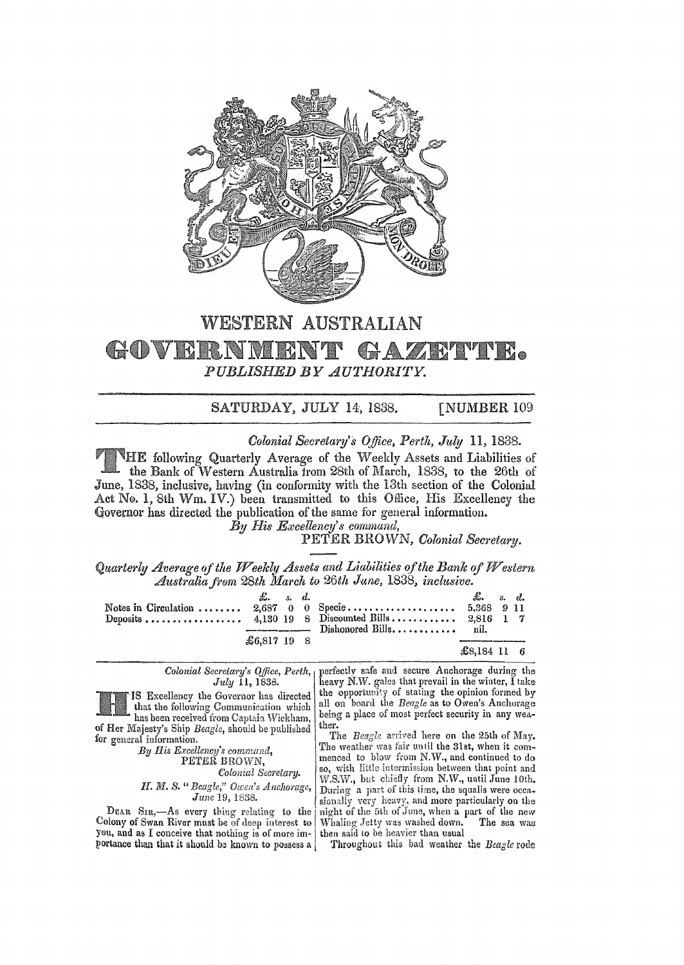

## WESTERN AUSTRALIAN GOVERNMENT GAZRIM PUBLISHED BY AUTHORITY.

## SATURDAY, JULY 14, 1838. **[NUMBER 109**

Colonial Secretary's Office, Perth, July 11, 1838.

THE following Quarterly Average of the Weekly Assets and Liabilities of the Bank of Western Australia from 28th of March, 1838, to the 26th of June, 1838, inclusive, having (in conformity with the 13th section of the Colonial Act No. 1, 8th Wm. IV.) been transmitted to this Office, His Excellency the Governor has directed the publication of the same for general information.

By His Excellency's command,

PETER BROWN, Colonial Secretary.

Quarterly Average of the Weekly Assets and Liabilities of the Bank of Western Australia from 28th March to 26th June, 1838, inclusive.

|  | $\pounds$ , s, d, |  |  | $\mathcal{L}$ s.d.   |  |
|--|-------------------|--|--|----------------------|--|
|  | $$6.81719$ 8      |  |  | $\pounds 8.184$ 11 6 |  |

perfectly safe and secure Anchorage during the Colonial Secretary's Office, Perth, July 11, 1838. IS Excellency the Governor has directed that the following Communication which being a place of most perfect security in any weahas been received from Captain Wickham, ther. of Her Majesty's Ship Beagle, should be published The Beagle arrived here on the 25th of May. for general information. By His Excellency's command, PETER BROWN, Colonial Secretary. H. M. S. " Beagle," Owen's Anchorage, June 19, 1838. sionally very heavy, and more particularly on the DEAR SIR,—As every thing relating to the Colony of Swan River must be of deep interest to

you, and as I conceive that nothing is of more importance than that it should be known to possess a

heavy N.W. gales that prevail in the winter, I take the opportunity of stating the opinion formed by all on board the Beagle as to Owen's Anchorage

The weather was fair until the 31st, when it commenced to blow from N.W., and continued to do so, with little-intermission between that point and W.S.W., but chiefly from N.W., until June 10th.<br>During a part of this time, the squalls were occanight of the 5th of June, when a part of the new Whaling Jetty was washed down. The sea was then said to be heavier than usual

Throughout this bad weather the Beagle rode